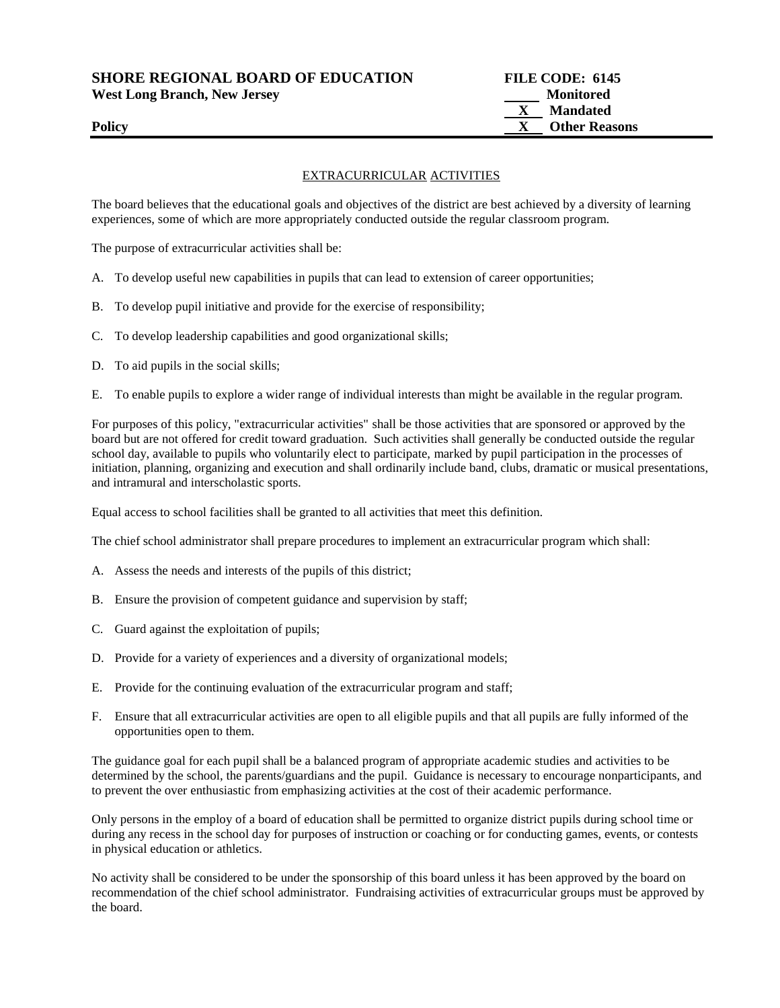**SHORE REGIONAL BOARD OF EDUCATION FILE CODE: 6145** 

**West Long Branch, New Jersey Monitored**

## EXTRACURRICULAR ACTIVITIES

The board believes that the educational goals and objectives of the district are best achieved by a diversity of learning experiences, some of which are more appropriately conducted outside the regular classroom program.

The purpose of extracurricular activities shall be:

- A. To develop useful new capabilities in pupils that can lead to extension of career opportunities;
- B. To develop pupil initiative and provide for the exercise of responsibility;
- C. To develop leadership capabilities and good organizational skills;
- D. To aid pupils in the social skills;
- E. To enable pupils to explore a wider range of individual interests than might be available in the regular program.

For purposes of this policy, "extracurricular activities" shall be those activities that are sponsored or approved by the board but are not offered for credit toward graduation. Such activities shall generally be conducted outside the regular school day, available to pupils who voluntarily elect to participate, marked by pupil participation in the processes of initiation, planning, organizing and execution and shall ordinarily include band, clubs, dramatic or musical presentations, and intramural and interscholastic sports.

Equal access to school facilities shall be granted to all activities that meet this definition.

The chief school administrator shall prepare procedures to implement an extracurricular program which shall:

- A. Assess the needs and interests of the pupils of this district;
- B. Ensure the provision of competent guidance and supervision by staff;
- C. Guard against the exploitation of pupils;
- D. Provide for a variety of experiences and a diversity of organizational models;
- E. Provide for the continuing evaluation of the extracurricular program and staff;
- F. Ensure that all extracurricular activities are open to all eligible pupils and that all pupils are fully informed of the opportunities open to them.

The guidance goal for each pupil shall be a balanced program of appropriate academic studies and activities to be determined by the school, the parents/guardians and the pupil. Guidance is necessary to encourage nonparticipants, and to prevent the over enthusiastic from emphasizing activities at the cost of their academic performance.

Only persons in the employ of a board of education shall be permitted to organize district pupils during school time or during any recess in the school day for purposes of instruction or coaching or for conducting games, events, or contests in physical education or athletics.

No activity shall be considered to be under the sponsorship of this board unless it has been approved by the board on recommendation of the chief school administrator. Fundraising activities of extracurricular groups must be approved by the board.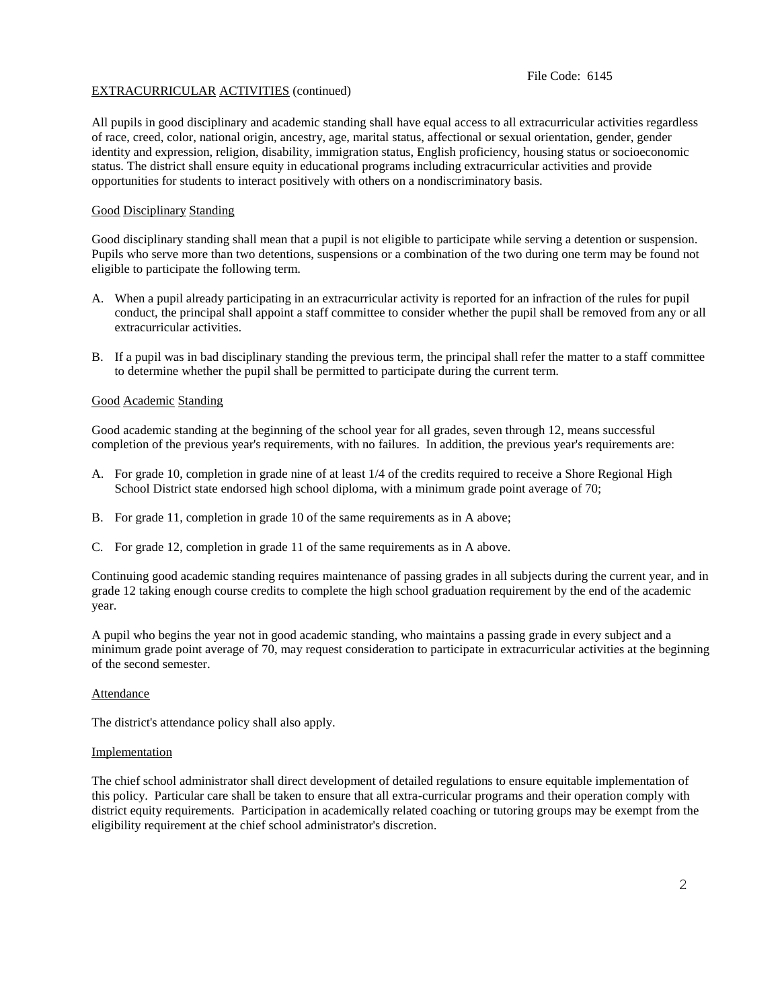## File Code: 6145

## EXTRACURRICULAR ACTIVITIES (continued)

All pupils in good disciplinary and academic standing shall have equal access to all extracurricular activities regardless of race, creed, color, national origin, ancestry, age, marital status, affectional or sexual orientation, gender, gender identity and expression, religion, disability, immigration status, English proficiency, housing status or socioeconomic status. The district shall ensure equity in educational programs including extracurricular activities and provide opportunities for students to interact positively with others on a nondiscriminatory basis.

### Good Disciplinary Standing

Good disciplinary standing shall mean that a pupil is not eligible to participate while serving a detention or suspension. Pupils who serve more than two detentions, suspensions or a combination of the two during one term may be found not eligible to participate the following term.

- A. When a pupil already participating in an extracurricular activity is reported for an infraction of the rules for pupil conduct, the principal shall appoint a staff committee to consider whether the pupil shall be removed from any or all extracurricular activities.
- B. If a pupil was in bad disciplinary standing the previous term, the principal shall refer the matter to a staff committee to determine whether the pupil shall be permitted to participate during the current term.

#### Good Academic Standing

Good academic standing at the beginning of the school year for all grades, seven through 12, means successful completion of the previous year's requirements, with no failures. In addition, the previous year's requirements are:

- A. For grade 10, completion in grade nine of at least 1/4 of the credits required to receive a Shore Regional High School District state endorsed high school diploma, with a minimum grade point average of 70;
- B. For grade 11, completion in grade 10 of the same requirements as in A above;
- C. For grade 12, completion in grade 11 of the same requirements as in A above.

Continuing good academic standing requires maintenance of passing grades in all subjects during the current year, and in grade 12 taking enough course credits to complete the high school graduation requirement by the end of the academic year.

A pupil who begins the year not in good academic standing, who maintains a passing grade in every subject and a minimum grade point average of 70, may request consideration to participate in extracurricular activities at the beginning of the second semester.

#### **Attendance**

The district's attendance policy shall also apply.

#### Implementation

The chief school administrator shall direct development of detailed regulations to ensure equitable implementation of this policy. Particular care shall be taken to ensure that all extra-curricular programs and their operation comply with district equity requirements. Participation in academically related coaching or tutoring groups may be exempt from the eligibility requirement at the chief school administrator's discretion.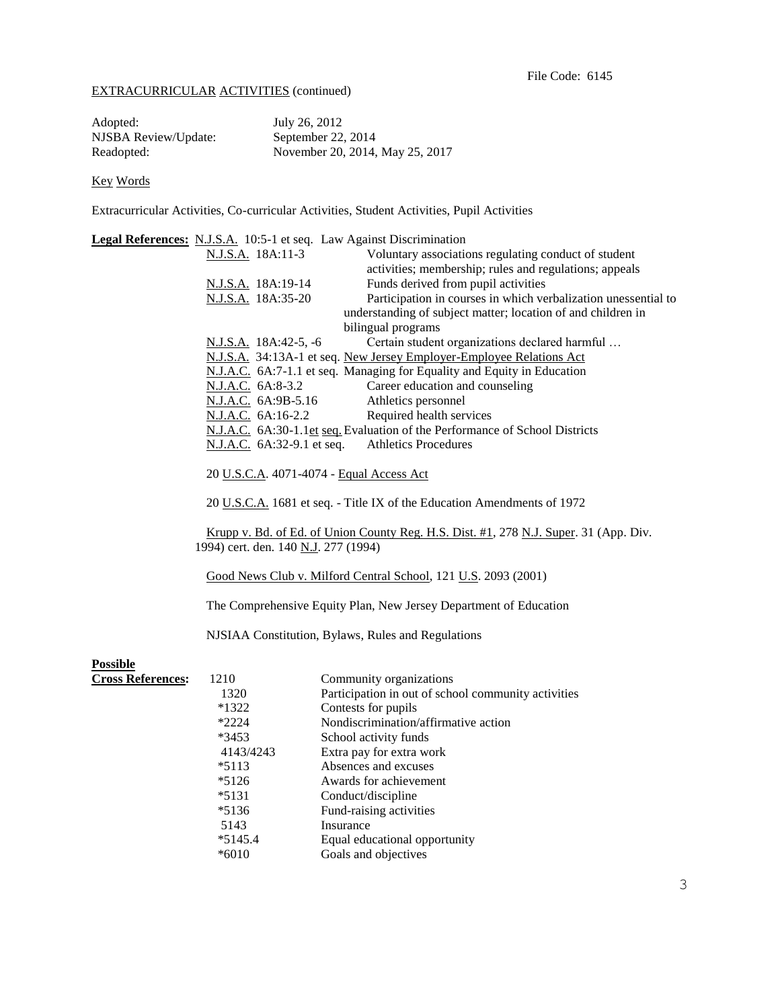# EXTRACURRICULAR ACTIVITIES (continued)

| Adopted:             | July 26, 2012                   |
|----------------------|---------------------------------|
| NJSBA Review/Update: | September 22, 2014              |
| Readopted:           | November 20, 2014, May 25, 2017 |

# Key Words

Extracurricular Activities, Co-curricular Activities, Student Activities, Pupil Activities

|                          |                                                                             | Legal References: N.J.S.A. 10:5-1 et seq. Law Against Discrimination                  |  |
|--------------------------|-----------------------------------------------------------------------------|---------------------------------------------------------------------------------------|--|
|                          | N.J.S.A. 18A:11-3                                                           | Voluntary associations regulating conduct of student                                  |  |
|                          |                                                                             | activities; membership; rules and regulations; appeals                                |  |
|                          | N.J.S.A. 18A:19-14                                                          | Funds derived from pupil activities                                                   |  |
|                          | N.J.S.A. 18A:35-20                                                          | Participation in courses in which verbalization unessential to                        |  |
|                          |                                                                             | understanding of subject matter; location of and children in                          |  |
|                          |                                                                             | bilingual programs                                                                    |  |
|                          | N.J.S.A. 18A:42-5, -6                                                       | Certain student organizations declared harmful                                        |  |
|                          |                                                                             | N.J.S.A. 34:13A-1 et seq. New Jersey Employer-Employee Relations Act                  |  |
|                          | N.J.A.C. 6A:7-1.1 et seq. Managing for Equality and Equity in Education     |                                                                                       |  |
|                          | N.J.A.C. 6A:8-3.2                                                           | Career education and counseling                                                       |  |
|                          | N.J.A.C. 6A:9B-5.16                                                         | Athletics personnel                                                                   |  |
|                          | N.J.A.C. 6A:16-2.2                                                          | Required health services                                                              |  |
|                          | N.J.A.C. 6A:30-1.1et seq. Evaluation of the Performance of School Districts |                                                                                       |  |
|                          | N.J.A.C. 6A:32-9.1 et seq.                                                  | <b>Athletics Procedures</b>                                                           |  |
|                          |                                                                             | 20 U.S.C.A. 4071-4074 - Equal Access Act                                              |  |
|                          |                                                                             | 20 U.S.C.A. 1681 et seq. - Title IX of the Education Amendments of 1972               |  |
|                          |                                                                             | Krupp v. Bd. of Ed. of Union County Reg. H.S. Dist. #1, 278 N.J. Super. 31 (App. Div. |  |
|                          | 1994) cert. den. 140 N.J. 277 (1994)                                        |                                                                                       |  |
|                          |                                                                             | Good News Club v. Milford Central School, 121 U.S. 2093 (2001)                        |  |
|                          | The Comprehensive Equity Plan, New Jersey Department of Education           |                                                                                       |  |
|                          | NJSIAA Constitution, Bylaws, Rules and Regulations                          |                                                                                       |  |
| <b>Possible</b>          |                                                                             |                                                                                       |  |
| <b>Cross References:</b> | 1210                                                                        | Community organizations                                                               |  |
|                          | 1320                                                                        | Participation in out of school community activities                                   |  |
|                          | *1322                                                                       | Contests for pupils                                                                   |  |
|                          | $*2224$                                                                     | Nondiscrimination/affirmative action                                                  |  |
|                          | *3453                                                                       | School activity funds                                                                 |  |
|                          | 4143/4243                                                                   | Extra pay for extra work                                                              |  |
|                          | $*5113$                                                                     | Absences and excuses                                                                  |  |
|                          | $*5126$                                                                     | Awards for achievement                                                                |  |
|                          | $*5131$                                                                     | Conduct/discipline                                                                    |  |
|                          | $*5136$                                                                     | Fund-raising activities                                                               |  |
|                          | 5143                                                                        | Insurance                                                                             |  |
|                          | $*5145.4$                                                                   | Equal educational opportunity                                                         |  |
|                          | $*6010$                                                                     | Goals and objectives                                                                  |  |